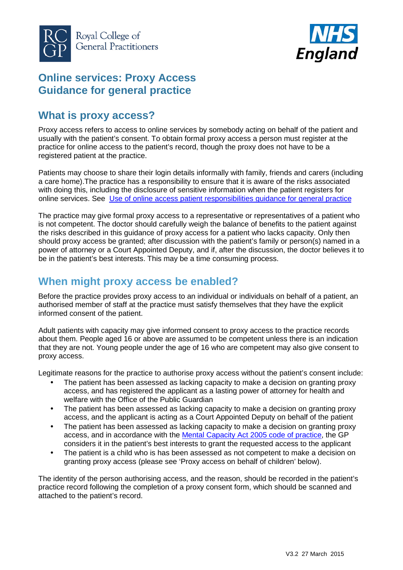



## **Online services: Proxy Access Guidance for general practice**

# **What is proxy access?**

Proxy access refers to access to online services by somebody acting on behalf of the patient and usually with the patient's consent. To obtain formal proxy access a person must register at the practice for online access to the patient's record, though the proxy does not have to be a registered patient at the practice.

Patients may choose to share their login details informally with family, friends and carers (including a care home).The practice has a responsibility to ensure that it is aware of the risks associated with doing this, including the disclosure of sensitive information when the patient registers for online services. See Use of online access patient [responsibilities](http://elearning.rcgp.org.uk/pluginfile.php/74124/mod_folder/content/0/PatientOnline_Patient_reponsibilities_guidance.pdf) guidance for general practice

The practice may give formal proxy access to a representative or representatives of a patient who is not competent. The doctor should carefully weigh the balance of benefits to the patient against the risks described in this guidance of proxy access for a patient who lacks capacity. Only then should proxy access be granted; after discussion with the patient's family or person(s) named in a power of attorney or a Court Appointed Deputy, and if, after the discussion, the doctor believes it to be in the patient's best interests. This may be a time consuming process.

# **When might proxy access be enabled?**

Before the practice provides proxy access to an individual or individuals on behalf of a patient, an authorised member of staff at the practice must satisfy themselves that they have the explicit informed consent of the patient.

Adult patients with capacity may give informed consent to proxy access to the practice records about them. People aged 16 or above are assumed to be competent unless there is an indication that they are not. Young people under the age of 16 who are competent may also give consent to proxy access.

Legitimate reasons for the practice to authorise proxy access without the patient's consent include:

- The patient has been assessed as lacking capacity to make a decision on granting proxy access, and has registered the applicant as a lasting power of attorney for health and welfare with the Office of the Public Guardian
- The patient has been assessed as lacking capacity to make a decision on granting proxy access, and the applicant is acting as a Court Appointed Deputy on behalf of the patient
- The patient has been assessed as lacking capacity to make a decision on granting proxy access, and in accordance with the Mental [Capacity](https://www.gov.uk/government/uploads/system/uploads/attachment_data/file/224660/Mental_Capacity_Act_code_of_practice.pdf) Act 2005 code of practice, the GP considers it in the patient's best interests to grant the requested access to the applicant
- The patient is a child who is has been assessed as not competent to make a decision on granting proxy access (please see 'Proxy access on behalf of children' below).

The identity of the person authorising access, and the reason, should be recorded in the patient's practice record following the completion of a proxy consent form, which should be scanned and attached to the patient's record.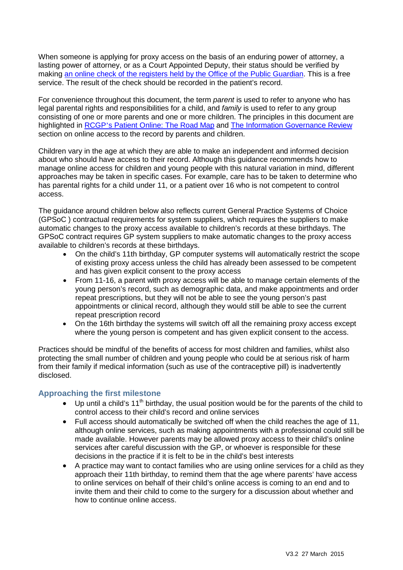When someone is applying for proxy access on the basis of an enduring power of attorney, a lasting power of attorney, or as a Court Appointed Deputy, their status should be verified by making an online check of the registers held by the Office of the Public [Guardian.](https://www.gov.uk/find-someones-attorney-or-deputy) This is a free service. The result of the check should be recorded in the patient's record.

For convenience throughout this document, the term *parent* is used to refer to anyone who has legal parental rights and responsibilities for a child, and *family* is used to refer to any group consisting of one or more parents and one or more children. The principles in this document are highlighted in RCGP's Patient [Online:](http://elearning.rcgp.org.uk/pluginfile.php/74431/mod_folder/content/0/Patient_Online-The_Road_Map.pdf) The Road Map and The Information [Governance](https://www.gov.uk/government/uploads/system/uploads/attachment_data/file/192572/2900774_InfoGovernance_accv2.pdf) Review section on online access to the record by parents and children.

Children vary in the age at which they are able to make an independent and informed decision about who should have access to their record. Although this guidance recommends how to manage online access for children and young people with this natural variation in mind, different approaches may be taken in specific cases. For example, care has to be taken to determine who has parental rights for a child under 11, or a patient over 16 who is not competent to control access.

The guidance around children below also reflects current General Practice Systems of Choice (GPSoC ) contractual requirements for system suppliers, which requires the suppliers to make automatic changes to the proxy access available to children's records at these birthdays. The GPSoC contract requires GP system suppliers to make automatic changes to the proxy access available to children's records at these birthdays.

- On the child's 11th birthday, GP computer systems will automatically restrict the scope of existing proxy access unless the child has already been assessed to be competent and has given explicit consent to the proxy access
- From 11-16, a parent with proxy access will be able to manage certain elements of the young person's record, such as demographic data, and make appointments and order repeat prescriptions, but they will not be able to see the young person's past appointments or clinical record, although they would still be able to see the current repeat prescription record
- On the 16th birthday the systems will switch off all the remaining proxy access except where the young person is competent and has given explicit consent to the access.

Practices should be mindful of the benefits of access for most children and families, whilst also protecting the small number of children and young people who could be at serious risk of harm from their family if medical information (such as use of the contraceptive pill) is inadvertently disclosed.

#### **Approaching the first milestone**

- Up until a child's 11<sup>th</sup> birthday, the usual position would be for the parents of the child to control access to their child's record and online services
- Full access should automatically be switched off when the child reaches the age of 11, although online services, such as making appointments with a professional could still be made available. However parents may be allowed proxy access to their child's online services after careful discussion with the GP, or whoever is responsible for these decisions in the practice if it is felt to be in the child's best interests
- A practice may want to contact families who are using online services for a child as they approach their 11th birthday, to remind them that the age where parents' have access to online services on behalf of their child's online access is coming to an end and to invite them and their child to come to the surgery for a discussion about whether and how to continue online access.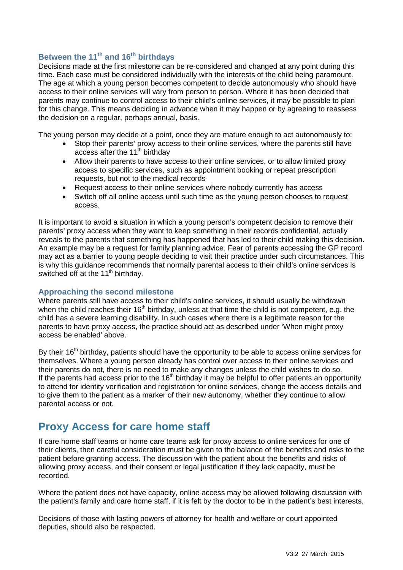### **Between the 11th and 16th birthdays**

Decisions made at the first milestone can be re-considered and changed at any point during this time. Each case must be considered individually with the interests of the child being paramount. The age at which a young person becomes competent to decide autonomously who should have access to their online services will vary from person to person. Where it has been decided that parents may continue to control access to their child's online services, it may be possible to plan for this change. This means deciding in advance when it may happen or by agreeing to reassess the decision on a regular, perhaps annual, basis.

The young person may decide at a point, once they are mature enough to act autonomously to:

- Stop their parents' proxy access to their online services, where the parents still have access after the 11<sup>th</sup> birthday
- Allow their parents to have access to their online services, or to allow limited proxy access to specific services, such as appointment booking or repeat prescription requests, but not to the medical records
- Request access to their online services where nobody currently has access
- Switch off all online access until such time as the young person chooses to request access.

It is important to avoid a situation in which a young person's competent decision to remove their parents' proxy access when they want to keep something in their records confidential, actually reveals to the parents that something has happened that has led to their child making this decision. An example may be a request for family planning advice. Fear of parents accessing the GP record may act as a barrier to young people deciding to visit their practice under such circumstances. This is why this guidance recommends that normally parental access to their child's online services is switched off at the 11<sup>th</sup> birthday.

#### **Approaching the second milestone**

Where parents still have access to their child's online services, it should usually be withdrawn when the child reaches their 16<sup>th</sup> birthday, unless at that time the child is not competent, e.g. the child has a severe learning disability. In such cases where there is a legitimate reason for the parents to have proxy access, the practice should act as described under 'When might proxy access be enabled' above.

By their 16<sup>th</sup> birthday, patients should have the opportunity to be able to access online services for themselves. Where a young person already has control over access to their online services and their parents do not, there is no need to make any changes unless the child wishes to do so. If the parents had access prior to the  $16<sup>th</sup>$  birthday it may be helpful to offer patients an opportunity to attend for identity verification and registration for online services, change the access details and to give them to the patient as a marker of their new autonomy, whether they continue to allow parental access or not.

### **Proxy Access for care home staff**

If care home staff teams or home care teams ask for proxy access to online services for one of their clients, then careful consideration must be given to the balance of the benefits and risks to the patient before granting access. The discussion with the patient about the benefits and risks of allowing proxy access, and their consent or legal justification if they lack capacity, must be recorded.

Where the patient does not have capacity, online access may be allowed following discussion with the patient's family and care home staff, if it is felt by the doctor to be in the patient's best interests.

Decisions of those with lasting powers of attorney for health and welfare or court appointed deputies, should also be respected.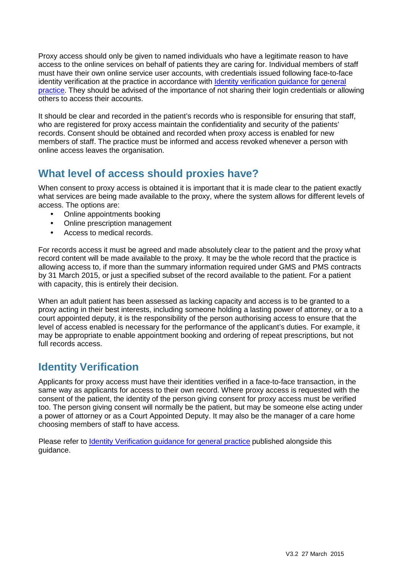Proxy access should only be given to named individuals who have a legitimate reason to have access to the online services on behalf of patients they are caring for. Individual members of staff must have their own online service user accounts, with credentials issued following face-to-face identity [verification](http://elearning.rcgp.org.uk/pluginfile.php/74124/mod_folder/content/0/PatientOnline-Identity_verification-guidance.pdf) at the practice in accordance with Identity verification guidance for general [practice.](http://elearning.rcgp.org.uk/pluginfile.php/74124/mod_folder/content/0/PatientOnline-Identity_verification-guidance.pdf) They should be advised of the importance of not sharing their login credentials or allowing others to access their accounts.

It should be clear and recorded in the patient's records who is responsible for ensuring that staff, who are registered for proxy access maintain the confidentiality and security of the patients' records. Consent should be obtained and recorded when proxy access is enabled for new members of staff. The practice must be informed and access revoked whenever a person with online access leaves the organisation.

# **What level of access should proxies have?**

When consent to proxy access is obtained it is important that it is made clear to the patient exactly what services are being made available to the proxy, where the system allows for different levels of access. The options are:

- Online appointments booking
- Online prescription management
- Access to medical records.

For records access it must be agreed and made absolutely clear to the patient and the proxy what record content will be made available to the proxy. It may be the whole record that the practice is allowing access to, if more than the summary information required under GMS and PMS contracts by 31 March 2015, or just a specified subset of the record available to the patient. For a patient with capacity, this is entirely their decision.

When an adult patient has been assessed as lacking capacity and access is to be granted to a proxy acting in their best interests, including someone holding a lasting power of attorney, or a to a court appointed deputy, it is the responsibility of the person authorising access to ensure that the level of access enabled is necessary for the performance of the applicant's duties. For example, it may be appropriate to enable appointment booking and ordering of repeat prescriptions, but not full records access.

# **Identity Verification**

Applicants for proxy access must have their identities verified in a face-to-face transaction, in the same way as applicants for access to their own record. Where proxy access is requested with the consent of the patient, the identity of the person giving consent for proxy access must be verified too. The person giving consent will normally be the patient, but may be someone else acting under a power of attorney or as a Court Appointed Deputy. It may also be the manager of a care home choosing members of staff to have access.

Please refer to Identity [Verification](http://elearning.rcgp.org.uk/pluginfile.php/74124/mod_folder/content/0/PatientOnline-Identity_verification-guidance.pdf) guidance for general practice published alongside this guidance.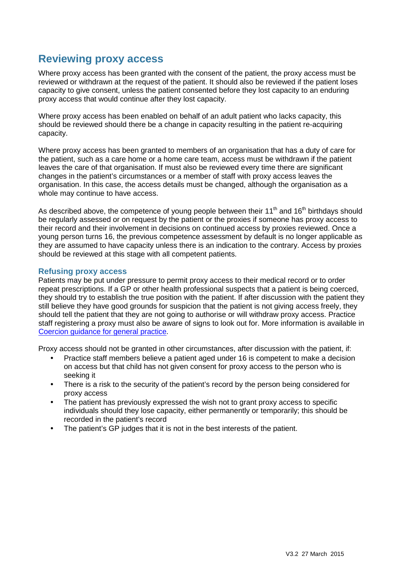### **Reviewing proxy access**

Where proxy access has been granted with the consent of the patient, the proxy access must be reviewed or withdrawn at the request of the patient. It should also be reviewed if the patient loses capacity to give consent, unless the patient consented before they lost capacity to an enduring proxy access that would continue after they lost capacity.

Where proxy access has been enabled on behalf of an adult patient who lacks capacity, this should be reviewed should there be a change in capacity resulting in the patient re-acquiring capacity.

Where proxy access has been granted to members of an organisation that has a duty of care for the patient, such as a care home or a home care team, access must be withdrawn if the patient leaves the care of that organisation. If must also be reviewed every time there are significant changes in the patient's circumstances or a member of staff with proxy access leaves the organisation. In this case, the access details must be changed, although the organisation as a whole may continue to have access.

As described above, the competence of young people between their  $11<sup>th</sup>$  and  $16<sup>th</sup>$  birthdays should be regularly assessed or on request by the patient or the proxies if someone has proxy access to their record and their involvement in decisions on continued access by proxies reviewed. Once a young person turns 16, the previous competence assessment by default is no longer applicable as they are assumed to have capacity unless there is an indication to the contrary. Access by proxies should be reviewed at this stage with all competent patients.

#### **Refusing proxy access**

Patients may be put under pressure to permit proxy access to their medical record or to order repeat prescriptions. If a GP or other health professional suspects that a patient is being coerced, they should try to establish the true position with the patient. If after discussion with the patient they still believe they have good grounds for suspicion that the patient is not giving access freely, they should tell the patient that they are not going to authorise or will withdraw proxy access. Practice staff registering a proxy must also be aware of signs to look out for. More information is available in Coercion [guidance](http://elearning.rcgp.org.uk/pluginfile.php/74124/mod_folder/content/0/PatientOnline-Coercion-guidance.pdf) for general practice.

Proxy access should not be granted in other circumstances, after discussion with the patient, if:

- Practice staff members believe a patient aged under 16 is competent to make a decision on access but that child has not given consent for proxy access to the person who is seeking it
- There is a risk to the security of the patient's record by the person being considered for proxy access
- The patient has previously expressed the wish not to grant proxy access to specific individuals should they lose capacity, either permanently or temporarily; this should be recorded in the patient's record
- The patient's GP judges that it is not in the best interests of the patient.